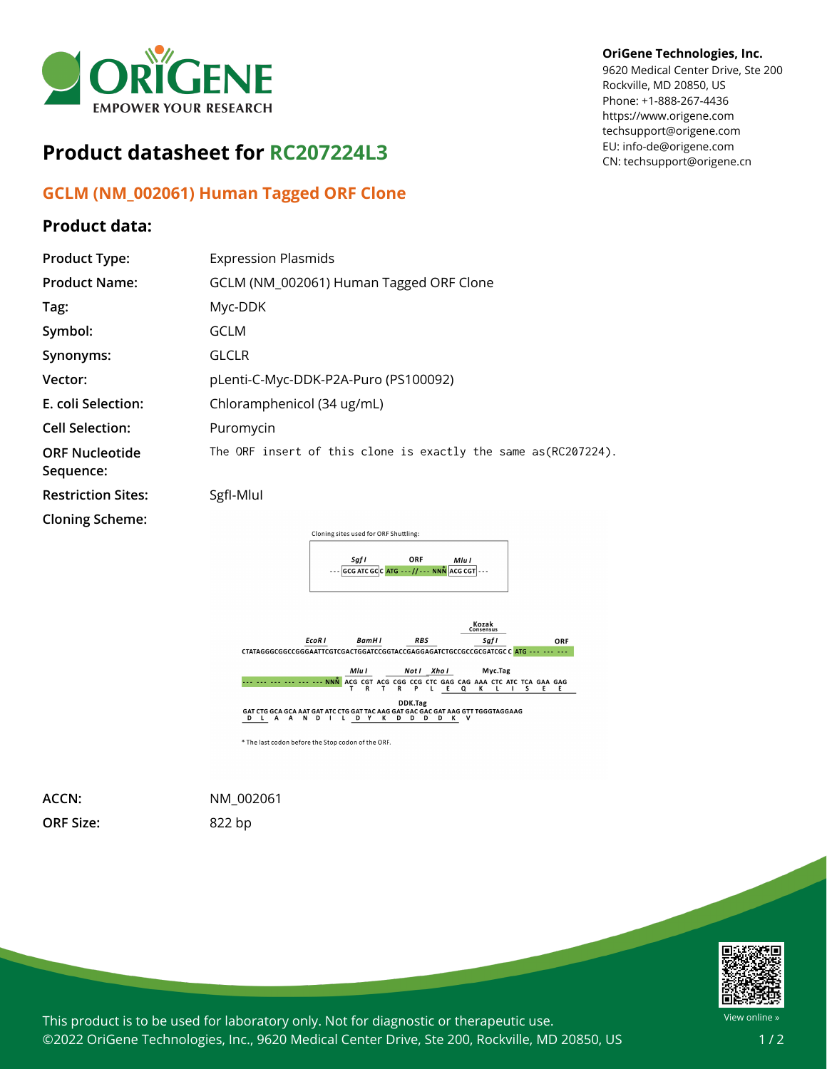

# **Product datasheet for RC207224L3**

## **GCLM (NM\_002061) Human Tagged ORF Clone**

### **Product data:**

#### **OriGene Technologies, Inc.**

9620 Medical Center Drive, Ste 200 Rockville, MD 20850, US Phone: +1-888-267-4436 https://www.origene.com techsupport@origene.com EU: info-de@origene.com CN: techsupport@origene.cn

| <b>Product Type:</b>               | <b>Expression Plasmids</b>                                     |
|------------------------------------|----------------------------------------------------------------|
| <b>Product Name:</b>               | GCLM (NM_002061) Human Tagged ORF Clone                        |
| Tag:                               | Myc-DDK                                                        |
| Symbol:                            | GCLM                                                           |
| Synonyms:                          | <b>GLCLR</b>                                                   |
| Vector:                            | pLenti-C-Myc-DDK-P2A-Puro (PS100092)                           |
| E. coli Selection:                 | Chloramphenicol (34 ug/mL)                                     |
| <b>Cell Selection:</b>             | Puromycin                                                      |
| <b>ORF Nucleotide</b><br>Sequence: | The ORF insert of this clone is exactly the same as(RC207224). |
| <b>Restriction Sites:</b>          | SgfI-Mlul                                                      |
| <b>Cloning Scheme:</b>             |                                                                |
|                                    | Cloning sites used for ORF Shuttling:<br>ORF<br>Sgf I<br>Mlu I |
|                                    | $ GCG ATC GC C ATG --- // --- NNN$ ACG CGT                     |



**ORF Size:** 822 bp

**ACCN:** NM\_002061



This product is to be used for laboratory only. Not for diagnostic or therapeutic use. ©2022 OriGene Technologies, Inc., 9620 Medical Center Drive, Ste 200, Rockville, MD 20850, US